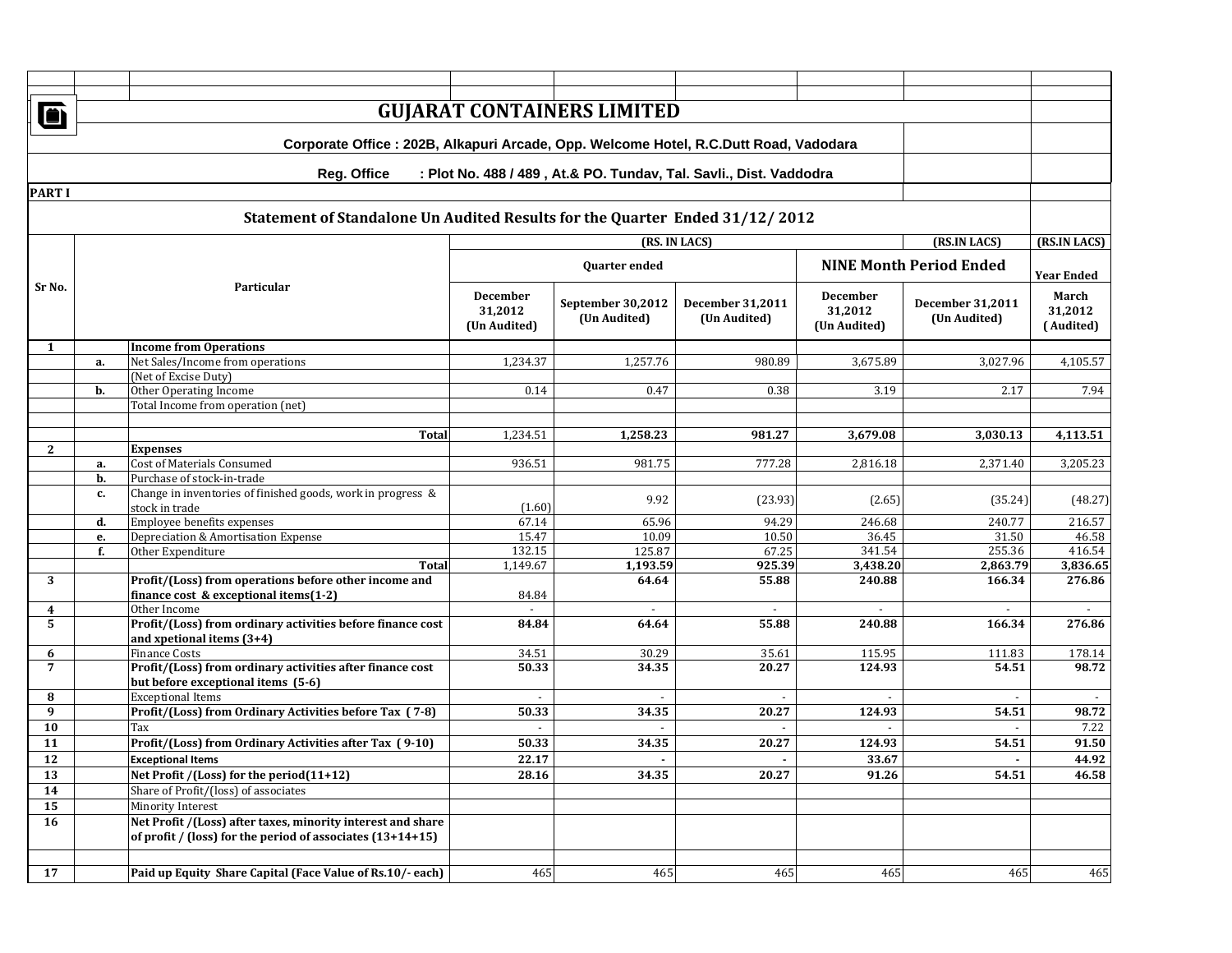|                                                                                       | <b>GUJARAT CONTAINERS LIMITED</b><br>ð                                                   |                                                                                                             |                         |                   |                         |                         |                                |                      |  |  |
|---------------------------------------------------------------------------------------|------------------------------------------------------------------------------------------|-------------------------------------------------------------------------------------------------------------|-------------------------|-------------------|-------------------------|-------------------------|--------------------------------|----------------------|--|--|
|                                                                                       |                                                                                          |                                                                                                             |                         |                   |                         |                         |                                |                      |  |  |
| Corporate Office : 202B, Alkapuri Arcade, Opp. Welcome Hotel, R.C.Dutt Road, Vadodara |                                                                                          |                                                                                                             |                         |                   |                         |                         |                                |                      |  |  |
|                                                                                       | <b>Reg. Office</b><br>: Plot No. 488 / 489, At.& PO. Tundav, Tal. Savli., Dist. Vaddodra |                                                                                                             |                         |                   |                         |                         |                                |                      |  |  |
| <b>PART I</b>                                                                         |                                                                                          |                                                                                                             |                         |                   |                         |                         |                                |                      |  |  |
|                                                                                       |                                                                                          | Statement of Standalone Un Audited Results for the Quarter Ended 31/12/2012                                 |                         |                   |                         |                         |                                |                      |  |  |
|                                                                                       | (RS. IN LACS)<br>(RS.IN LACS)                                                            |                                                                                                             |                         |                   |                         |                         |                                |                      |  |  |
|                                                                                       | Particular                                                                               |                                                                                                             | <b>Ouarter ended</b>    |                   |                         |                         | <b>NINE Month Period Ended</b> | <b>Year Ended</b>    |  |  |
| Sr No.                                                                                |                                                                                          |                                                                                                             | <b>December</b>         | September 30,2012 | <b>December 31,2011</b> | <b>December</b>         | <b>December 31,2011</b>        | March                |  |  |
|                                                                                       |                                                                                          |                                                                                                             | 31,2012<br>(Un Audited) | (Un Audited)      | (Un Audited)            | 31,2012<br>(Un Audited) | (Un Audited)                   | 31,2012<br>(Audited) |  |  |
| 1                                                                                     |                                                                                          | <b>Income from Operations</b>                                                                               |                         |                   |                         |                         |                                |                      |  |  |
|                                                                                       | a.                                                                                       | Net Sales/Income from operations                                                                            | 1,234.37                | 1,257.76          | 980.89                  | 3,675.89                | 3,027.96                       | 4,105.57             |  |  |
|                                                                                       | b.                                                                                       | (Net of Excise Duty)<br>Other Operating Income                                                              | 0.14                    | 0.47              | 0.38                    | 3.19                    | 2.17                           | 7.94                 |  |  |
|                                                                                       |                                                                                          | Total Income from operation (net)                                                                           |                         |                   |                         |                         |                                |                      |  |  |
|                                                                                       |                                                                                          |                                                                                                             |                         |                   |                         |                         |                                |                      |  |  |
|                                                                                       |                                                                                          | <b>Total</b>                                                                                                | 1,234.51                | 1,258.23          | 981.27                  | 3,679.08                | 3,030.13                       | 4,113.51             |  |  |
| $\mathbf{2}$                                                                          |                                                                                          | <b>Expenses</b>                                                                                             |                         |                   |                         |                         |                                |                      |  |  |
|                                                                                       | a.<br>b.                                                                                 | Cost of Materials Consumed                                                                                  | 936.51                  | 981.75            | 777.28                  | 2,816.18                | 2,371.40                       | 3,205.23             |  |  |
|                                                                                       | c.                                                                                       | Purchase of stock-in-trade<br>Change in inventories of finished goods, work in progress &<br>stock in trade | (1.60)                  | 9.92              | (23.93)                 | (2.65)                  | (35.24)                        | (48.27)              |  |  |
|                                                                                       | d.                                                                                       | Employee benefits expenses                                                                                  | 67.14                   | 65.96             | 94.29                   | 246.68                  | 240.77                         | 216.57               |  |  |
|                                                                                       | е.                                                                                       | Depreciation & Amortisation Expense                                                                         | 15.47                   | 10.09             | 10.50                   | 36.45                   | 31.50                          | 46.58                |  |  |
|                                                                                       | f.                                                                                       | Other Expenditure                                                                                           | 132.15                  | 125.87            | 67.25                   | 341.54                  | 255.36                         | 416.54               |  |  |
|                                                                                       |                                                                                          | Total                                                                                                       | 1,149.67                | 1,193.59          | 925.39                  | 3,438.20                | 2,863.79                       | 3,836.65             |  |  |
| 3                                                                                     |                                                                                          | Profit/(Loss) from operations before other income and                                                       |                         | 64.64             | 55.88                   | 240.88                  | 166.34                         | 276.86               |  |  |
|                                                                                       |                                                                                          | finance cost & exceptional items $(1-2)$                                                                    | 84.84                   |                   |                         |                         |                                |                      |  |  |
| 4<br>5                                                                                |                                                                                          | Other Income<br>Profit/(Loss) from ordinary activities before finance cost<br>and xpetional items (3+4)     | 84.84                   | 64.64             | 55.88                   | 240.88                  | 166.34                         | 276.86               |  |  |
| 6                                                                                     |                                                                                          | <b>Finance Costs</b>                                                                                        | 34.51                   | 30.29             | 35.61                   | 115.95                  | 111.83                         | 178.14               |  |  |
| $\overline{7}$                                                                        |                                                                                          | Profit/(Loss) from ordinary activities after finance cost                                                   | 50.33                   | 34.35             | 20.27                   | 124.93                  | 54.51                          | 98.72                |  |  |
|                                                                                       |                                                                                          | but before exceptional items (5-6)                                                                          |                         |                   |                         |                         |                                |                      |  |  |
| 8                                                                                     |                                                                                          | <b>Exceptional Items</b>                                                                                    |                         |                   |                         |                         |                                |                      |  |  |
| 9                                                                                     |                                                                                          | Profit/(Loss) from Ordinary Activities before Tax (7-8)                                                     | 50.33                   | 34.35             | 20.27                   | 124.93                  | 54.51                          | 98.72                |  |  |
| 10                                                                                    |                                                                                          | Tax                                                                                                         |                         |                   |                         |                         |                                | 7.22                 |  |  |
| 11                                                                                    |                                                                                          | Profit/(Loss) from Ordinary Activities after Tax (9-10)                                                     | 50.33                   | 34.35             | 20.27                   | 124.93                  | 54.51                          | 91.50                |  |  |
| 12                                                                                    |                                                                                          | <b>Exceptional Items</b>                                                                                    | 22.17                   | $\blacksquare$    | $\sim$                  | 33.67                   | $\blacksquare$                 | 44.92                |  |  |
| 13                                                                                    |                                                                                          | Net Profit /(Loss) for the period(11+12)                                                                    | 28.16                   | 34.35             | 20.27                   | 91.26                   | 54.51                          | 46.58                |  |  |
| 14                                                                                    |                                                                                          | Share of Profit/(loss) of associates                                                                        |                         |                   |                         |                         |                                |                      |  |  |
| 15<br>16                                                                              |                                                                                          | Minority Interest<br>Net Profit /(Loss) after taxes, minority interest and share                            |                         |                   |                         |                         |                                |                      |  |  |
|                                                                                       |                                                                                          | of profit / (loss) for the period of associates $(13+14+15)$                                                |                         |                   |                         |                         |                                |                      |  |  |
|                                                                                       |                                                                                          |                                                                                                             |                         |                   |                         |                         |                                |                      |  |  |
| 17                                                                                    |                                                                                          | Paid up Equity Share Capital (Face Value of Rs.10/- each)                                                   | 465                     | 465               | 465                     | 465                     | 465                            | 465                  |  |  |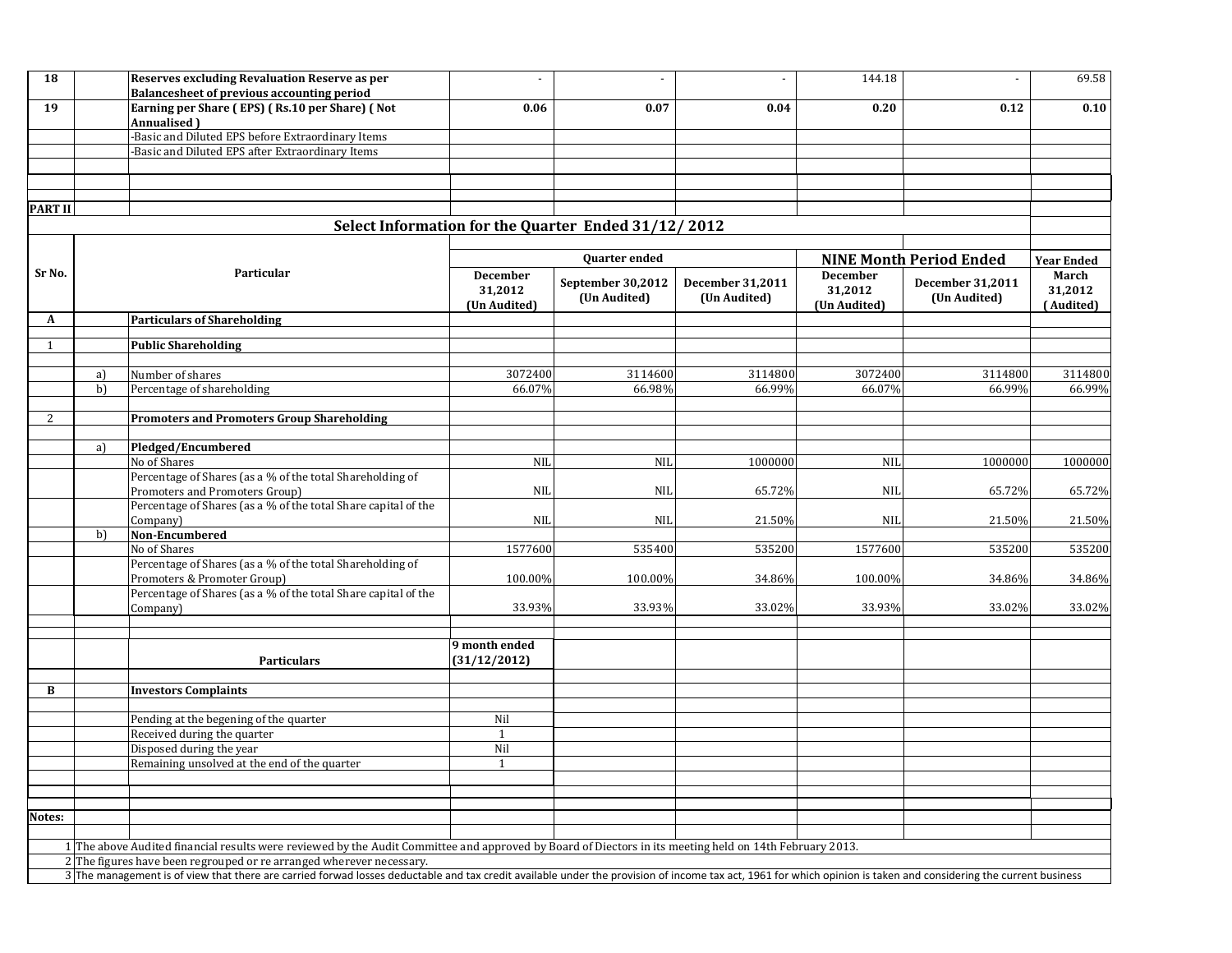| 18             |                                                                                                                                                                                                                  | Reserves excluding Revaluation Reserve as per<br>Balancesheet of previous accounting period                                                             | $\overline{\phantom{a}}$      |                                                     |                         | 144.18                     | $\overline{\phantom{a}}$                           | 69.58            |  |
|----------------|------------------------------------------------------------------------------------------------------------------------------------------------------------------------------------------------------------------|---------------------------------------------------------------------------------------------------------------------------------------------------------|-------------------------------|-----------------------------------------------------|-------------------------|----------------------------|----------------------------------------------------|------------------|--|
| 19             |                                                                                                                                                                                                                  | Earning per Share (EPS) (Rs.10 per Share) (Not                                                                                                          | 0.06                          | 0.07                                                | 0.04                    | 0.20                       | 0.12                                               | 0.10             |  |
|                |                                                                                                                                                                                                                  | Annualised )                                                                                                                                            |                               |                                                     |                         |                            |                                                    |                  |  |
|                |                                                                                                                                                                                                                  | -Basic and Diluted EPS before Extraordinary Items                                                                                                       |                               |                                                     |                         |                            |                                                    |                  |  |
|                |                                                                                                                                                                                                                  | -Basic and Diluted EPS after Extraordinary Items                                                                                                        |                               |                                                     |                         |                            |                                                    |                  |  |
|                |                                                                                                                                                                                                                  |                                                                                                                                                         |                               |                                                     |                         |                            |                                                    |                  |  |
|                |                                                                                                                                                                                                                  |                                                                                                                                                         |                               |                                                     |                         |                            |                                                    |                  |  |
| <b>PART II</b> |                                                                                                                                                                                                                  |                                                                                                                                                         |                               |                                                     |                         |                            |                                                    |                  |  |
|                |                                                                                                                                                                                                                  |                                                                                                                                                         |                               | Select Information for the Quarter Ended 31/12/2012 |                         |                            |                                                    |                  |  |
|                |                                                                                                                                                                                                                  |                                                                                                                                                         |                               |                                                     |                         |                            |                                                    |                  |  |
|                |                                                                                                                                                                                                                  |                                                                                                                                                         |                               | <b>Year Ended</b>                                   |                         |                            |                                                    |                  |  |
| Sr No.         | Particular                                                                                                                                                                                                       |                                                                                                                                                         | December<br>31,2012           | Quarter ended<br>September 30,2012                  | <b>December 31,2011</b> | <b>December</b><br>31,2012 | <b>NINE Month Period Ended</b><br>December 31,2011 | March<br>31,2012 |  |
|                |                                                                                                                                                                                                                  |                                                                                                                                                         |                               | (Un Audited)                                        | (Un Audited)            | (Un Audited)               | (Un Audited)                                       | (Audited)        |  |
| A              |                                                                                                                                                                                                                  | <b>Particulars of Shareholding</b>                                                                                                                      | (Un Audited)                  |                                                     |                         |                            |                                                    |                  |  |
| 1              |                                                                                                                                                                                                                  | <b>Public Shareholding</b>                                                                                                                              |                               |                                                     |                         |                            |                                                    |                  |  |
|                |                                                                                                                                                                                                                  |                                                                                                                                                         |                               |                                                     |                         |                            |                                                    |                  |  |
|                | a)                                                                                                                                                                                                               | Number of shares                                                                                                                                        | 3072400                       | 3114600                                             | 3114800                 | 3072400                    | 3114800                                            | 3114800          |  |
|                | b)                                                                                                                                                                                                               | Percentage of shareholding                                                                                                                              | 66.07%                        | 66.98%                                              | 66.99%                  | 66.07%                     | 66.99%                                             | 66.99%           |  |
| 2              |                                                                                                                                                                                                                  |                                                                                                                                                         |                               |                                                     |                         |                            |                                                    |                  |  |
|                |                                                                                                                                                                                                                  | <b>Promoters and Promoters Group Shareholding</b>                                                                                                       |                               |                                                     |                         |                            |                                                    |                  |  |
|                | a)                                                                                                                                                                                                               | Pledged/Encumbered                                                                                                                                      |                               |                                                     |                         |                            |                                                    |                  |  |
|                |                                                                                                                                                                                                                  | No of Shares                                                                                                                                            | <b>NIL</b>                    | <b>NIL</b>                                          | 1000000                 | <b>NIL</b>                 | 1000000                                            | 1000000          |  |
|                |                                                                                                                                                                                                                  | Percentage of Shares (as a % of the total Shareholding of                                                                                               |                               |                                                     |                         |                            |                                                    |                  |  |
|                |                                                                                                                                                                                                                  | Promoters and Promoters Group)                                                                                                                          | <b>NIL</b>                    | <b>NIL</b>                                          | 65.72%                  | <b>NIL</b>                 | 65.72%                                             | 65.72%           |  |
|                |                                                                                                                                                                                                                  | Percentage of Shares (as a % of the total Share capital of the                                                                                          |                               |                                                     |                         |                            |                                                    |                  |  |
|                | b)                                                                                                                                                                                                               | Company)<br>Non-Encumbered                                                                                                                              | NII                           | <b>NIL</b>                                          | 21.50%                  | NIL                        | 21.50%                                             | 21.50%           |  |
|                |                                                                                                                                                                                                                  | No of Shares                                                                                                                                            | 1577600                       | 535400                                              | 535200                  | 1577600                    | 535200                                             | 535200           |  |
|                |                                                                                                                                                                                                                  | Percentage of Shares (as a % of the total Shareholding of                                                                                               |                               |                                                     |                         |                            |                                                    |                  |  |
|                |                                                                                                                                                                                                                  | Promoters & Promoter Group)                                                                                                                             | 100.00%                       | 100.00%                                             | 34.86%                  | 100.00%                    | 34.86%                                             | 34.86%           |  |
|                |                                                                                                                                                                                                                  | Percentage of Shares (as a % of the total Share capital of the                                                                                          |                               |                                                     |                         |                            |                                                    |                  |  |
|                |                                                                                                                                                                                                                  | Company)                                                                                                                                                | 33.93%                        | 33.93%                                              | 33.02%                  | 33.93%                     | 33.02%                                             | 33.02%           |  |
|                |                                                                                                                                                                                                                  |                                                                                                                                                         |                               |                                                     |                         |                            |                                                    |                  |  |
|                |                                                                                                                                                                                                                  | <b>Particulars</b>                                                                                                                                      | 9 month ended<br>(31/12/2012) |                                                     |                         |                            |                                                    |                  |  |
|                |                                                                                                                                                                                                                  |                                                                                                                                                         |                               |                                                     |                         |                            |                                                    |                  |  |
| B              |                                                                                                                                                                                                                  | <b>Investors Complaints</b>                                                                                                                             |                               |                                                     |                         |                            |                                                    |                  |  |
|                |                                                                                                                                                                                                                  |                                                                                                                                                         |                               |                                                     |                         |                            |                                                    |                  |  |
|                |                                                                                                                                                                                                                  | Pending at the begening of the quarter                                                                                                                  | Nil                           |                                                     |                         |                            |                                                    |                  |  |
|                |                                                                                                                                                                                                                  | Received during the quarter<br>Disposed during the year                                                                                                 | 1<br>Nil                      |                                                     |                         |                            |                                                    |                  |  |
|                |                                                                                                                                                                                                                  | Remaining unsolved at the end of the quarter                                                                                                            | 1                             |                                                     |                         |                            |                                                    |                  |  |
|                |                                                                                                                                                                                                                  |                                                                                                                                                         |                               |                                                     |                         |                            |                                                    |                  |  |
|                |                                                                                                                                                                                                                  |                                                                                                                                                         |                               |                                                     |                         |                            |                                                    |                  |  |
| Notes:         |                                                                                                                                                                                                                  |                                                                                                                                                         |                               |                                                     |                         |                            |                                                    |                  |  |
|                |                                                                                                                                                                                                                  |                                                                                                                                                         |                               |                                                     |                         |                            |                                                    |                  |  |
|                |                                                                                                                                                                                                                  | 1 The above Audited financial results were reviewed by the Audit Committee and approved by Board of Diectors in its meeting held on 14th February 2013. |                               |                                                     |                         |                            |                                                    |                  |  |
|                |                                                                                                                                                                                                                  | 2 The figures have been regrouped or re arranged wherever necessary.                                                                                    |                               |                                                     |                         |                            |                                                    |                  |  |
|                | 3 The management is of view that there are carried forwad losses deductable and tax credit available under the provision of income tax act, 1961 for which opinion is taken and considering the current business |                                                                                                                                                         |                               |                                                     |                         |                            |                                                    |                  |  |